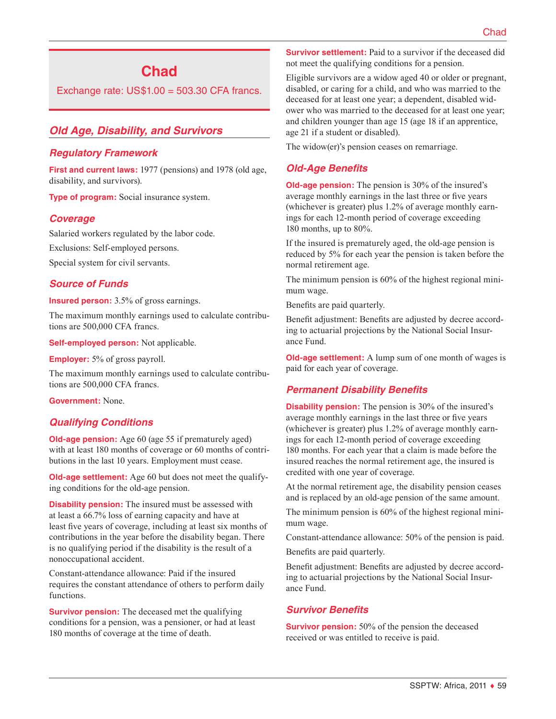# **Chad**

Exchange rate:  $US$1.00 = 503.30$  CFA francs.

# *Old Age, Disability, and Survivors*

### *Regulatory Framework*

**First and current laws:** 1977 (pensions) and 1978 (old age, disability, and survivors).

**Type of program:** Social insurance system.

### *Coverage*

Salaried workers regulated by the labor code.

Exclusions: Self-employed persons.

Special system for civil servants.

### *Source of Funds*

**Insured person:** 3.5% of gross earnings.

The maximum monthly earnings used to calculate contributions are 500,000 CFA francs.

**Self-employed person:** Not applicable.

**Employer:** 5% of gross payroll.

The maximum monthly earnings used to calculate contributions are 500,000 CFA francs.

**Government:** None.

### *Qualifying Conditions*

**Old-age pension:** Age 60 (age 55 if prematurely aged) with at least 180 months of coverage or 60 months of contributions in the last 10 years. Employment must cease.

**Old-age settlement:** Age 60 but does not meet the qualifying conditions for the old-age pension.

**Disability pension:** The insured must be assessed with at least a 66.7% loss of earning capacity and have at least five years of coverage, including at least six months of contributions in the year before the disability began. There is no qualifying period if the disability is the result of a nonoccupational accident.

Constant-attendance allowance: Paid if the insured requires the constant attendance of others to perform daily functions.

**Survivor pension:** The deceased met the qualifying conditions for a pension, was a pensioner, or had at least 180 months of coverage at the time of death.

**Survivor settlement:** Paid to a survivor if the deceased did not meet the qualifying conditions for a pension.

Eligible survivors are a widow aged 40 or older or pregnant, disabled, or caring for a child, and who was married to the deceased for at least one year; a dependent, disabled widower who was married to the deceased for at least one year; and children younger than age 15 (age 18 if an apprentice, age 21 if a student or disabled).

The widow(er)'s pension ceases on remarriage.

# *Old-Age Benefits*

**Old-age pension:** The pension is 30% of the insured's average monthly earnings in the last three or five years (whichever is greater) plus 1.2% of average monthly earnings for each 12-month period of coverage exceeding 180 months, up to 80%.

If the insured is prematurely aged, the old-age pension is reduced by 5% for each year the pension is taken before the normal retirement age.

The minimum pension is 60% of the highest regional minimum wage.

Benefits are paid quarterly.

Benefit adjustment: Benefits are adjusted by decree according to actuarial projections by the National Social Insurance Fund.

**Old-age settlement:** A lump sum of one month of wages is paid for each year of coverage.

### *Permanent Disability Benefits*

**Disability pension:** The pension is 30% of the insured's average monthly earnings in the last three or five years (whichever is greater) plus 1.2% of average monthly earnings for each 12-month period of coverage exceeding 180 months. For each year that a claim is made before the insured reaches the normal retirement age, the insured is credited with one year of coverage.

At the normal retirement age, the disability pension ceases and is replaced by an old-age pension of the same amount.

The minimum pension is 60% of the highest regional minimum wage.

Constant-attendance allowance: 50% of the pension is paid.

Benefits are paid quarterly.

Benefit adjustment: Benefits are adjusted by decree according to actuarial projections by the National Social Insurance Fund.

### *Survivor Benefits*

**Survivor pension:** 50% of the pension the deceased received or was entitled to receive is paid.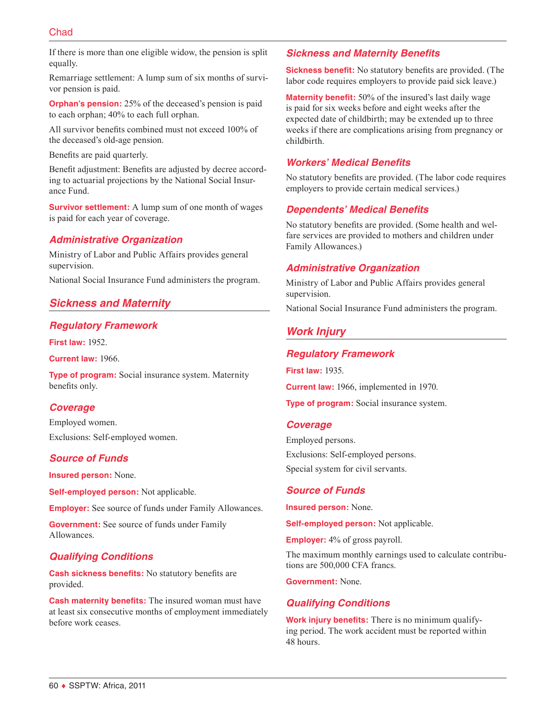# **Chad**

If there is more than one eligible widow, the pension is split equally.

Remarriage settlement: A lump sum of six months of survivor pension is paid.

**Orphan's pension:** 25% of the deceased's pension is paid to each orphan; 40% to each full orphan.

All survivor benefits combined must not exceed 100% of the deceased's old-age pension.

Benefits are paid quarterly.

Benefit adjustment: Benefits are adjusted by decree according to actuarial projections by the National Social Insurance Fund.

**Survivor settlement:** A lump sum of one month of wages is paid for each year of coverage.

### *Administrative Organization*

Ministry of Labor and Public Affairs provides general supervision.

National Social Insurance Fund administers the program.

# *Sickness and Maternity*

# *Regulatory Framework*

**First law:** 1952.

**Current law:** 1966.

**Type of program:** Social insurance system. Maternity benefits only.

### *Coverage*

Employed women. Exclusions: Self-employed women.

# *Source of Funds*

**Insured person:** None.

**Self-employed person:** Not applicable.

**Employer:** See source of funds under Family Allowances.

**Government:** See source of funds under Family Allowances.

# *Qualifying Conditions*

**Cash sickness benefits:** No statutory benefits are provided.

**Cash maternity benefits:** The insured woman must have at least six consecutive months of employment immediately before work ceases.

### *Sickness and Maternity Benefits*

**Sickness benefit:** No statutory benefits are provided. (The labor code requires employers to provide paid sick leave.)

**Maternity benefit:** 50% of the insured's last daily wage is paid for six weeks before and eight weeks after the expected date of childbirth; may be extended up to three weeks if there are complications arising from pregnancy or childbirth.

# *Workers' Medical Benefits*

No statutory benefits are provided. (The labor code requires employers to provide certain medical services.)

# *Dependents' Medical Benefits*

No statutory benefits are provided. (Some health and welfare services are provided to mothers and children under Family Allowances.)

# *Administrative Organization*

Ministry of Labor and Public Affairs provides general supervision.

National Social Insurance Fund administers the program.

# *Work Injury*

### *Regulatory Framework*

**First law:** 1935.

**Current law:** 1966, implemented in 1970.

**Type of program:** Social insurance system.

#### *Coverage*

Employed persons. Exclusions: Self-employed persons. Special system for civil servants.

### *Source of Funds*

**Insured person:** None.

**Self-employed person:** Not applicable.

**Employer:** 4% of gross payroll.

The maximum monthly earnings used to calculate contributions are 500,000 CFA francs.

**Government:** None.

# *Qualifying Conditions*

**Work injury benefits:** There is no minimum qualifying period. The work accident must be reported within 48 hours.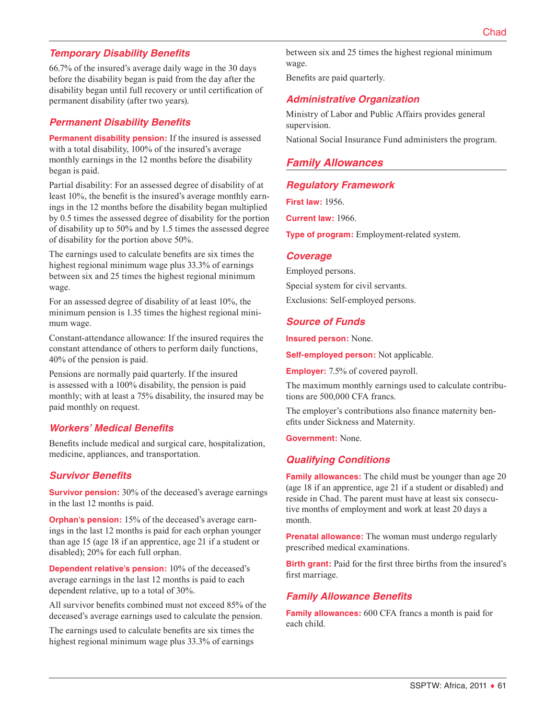# *Temporary Disability Benefits*

66.7% of the insured's average daily wage in the 30 days before the disability began is paid from the day after the disability began until full recovery or until certification of permanent disability (after two years).

### *Permanent Disability Benefits*

**Permanent disability pension:** If the insured is assessed with a total disability, 100% of the insured's average monthly earnings in the 12 months before the disability began is paid.

Partial disability: For an assessed degree of disability of at least 10%, the benefit is the insured's average monthly earnings in the 12 months before the disability began multiplied by 0.5 times the assessed degree of disability for the portion of disability up to 50% and by 1.5 times the assessed degree of disability for the portion above 50%.

The earnings used to calculate benefits are six times the highest regional minimum wage plus 33.3% of earnings between six and 25 times the highest regional minimum wage.

For an assessed degree of disability of at least 10%, the minimum pension is 1.35 times the highest regional minimum wage.

Constant-attendance allowance: If the insured requires the constant attendance of others to perform daily functions, 40% of the pension is paid.

Pensions are normally paid quarterly. If the insured is assessed with a 100% disability, the pension is paid monthly; with at least a 75% disability, the insured may be paid monthly on request.

### *Workers' Medical Benefits*

Benefits include medical and surgical care, hospitalization, medicine, appliances, and transportation.

### *Survivor Benefits*

**Survivor pension:** 30% of the deceased's average earnings in the last 12 months is paid.

**Orphan's pension:** 15% of the deceased's average earnings in the last 12 months is paid for each orphan younger than age 15 (age 18 if an apprentice, age 21 if a student or disabled); 20% for each full orphan.

**Dependent relative's pension:** 10% of the deceased's average earnings in the last 12 months is paid to each dependent relative, up to a total of 30%.

All survivor benefits combined must not exceed 85% of the deceased's average earnings used to calculate the pension.

The earnings used to calculate benefits are six times the highest regional minimum wage plus 33.3% of earnings

between six and 25 times the highest regional minimum wage.

Benefits are paid quarterly.

# *Administrative Organization*

Ministry of Labor and Public Affairs provides general supervision.

National Social Insurance Fund administers the program.

### *Family Allowances*

### *Regulatory Framework*

**First law:** 1956.

**Current law:** 1966.

**Type of program:** Employment-related system.

#### *Coverage*

Employed persons.

Special system for civil servants.

Exclusions: Self-employed persons.

### *Source of Funds*

**Insured person:** None.

**Self-employed person:** Not applicable.

**Employer:** 7.5% of covered payroll.

The maximum monthly earnings used to calculate contributions are 500,000 CFA francs.

The employer's contributions also finance maternity benefits under Sickness and Maternity.

**Government:** None.

### *Qualifying Conditions*

**Family allowances:** The child must be younger than age 20 (age 18 if an apprentice, age 21 if a student or disabled) and reside in Chad. The parent must have at least six consecutive months of employment and work at least 20 days a month.

**Prenatal allowance:** The woman must undergo regularly prescribed medical examinations.

**Birth grant:** Paid for the first three births from the insured's first marriage.

#### *Family Allowance Benefits*

**Family allowances:** 600 CFA francs a month is paid for each child.